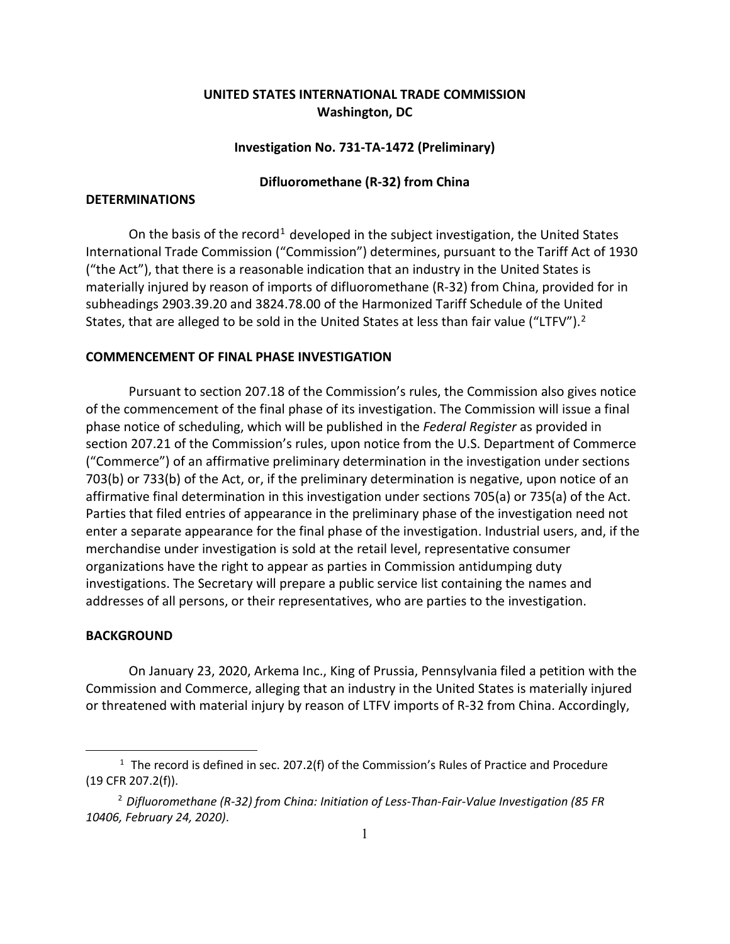# **UNITED STATES INTERNATIONAL TRADE COMMISSION Washington, DC**

#### **Investigation No. 731-TA-1472 (Preliminary)**

#### **Difluoromethane (R-32) from China**

## **DETERMINATIONS**

On the basis of the record<sup>[1](#page-0-0)</sup> developed in the subject investigation, the United States International Trade Commission ("Commission") determines, pursuant to the Tariff Act of 1930 ("the Act"), that there is a reasonable indication that an industry in the United States is materially injured by reason of imports of difluoromethane (R-32) from China, provided for in subheadings 2903.39.20 and 3824.78.00 of the Harmonized Tariff Schedule of the United States, that are alleged to be sold in the United States at less than fair value ("LTFV").<sup>[2](#page-0-1)</sup>

### **COMMENCEMENT OF FINAL PHASE INVESTIGATION**

Pursuant to section 207.18 of the Commission's rules, the Commission also gives notice of the commencement of the final phase of its investigation. The Commission will issue a final phase notice of scheduling, which will be published in the *Federal Register* as provided in section 207.21 of the Commission's rules, upon notice from the U.S. Department of Commerce ("Commerce") of an affirmative preliminary determination in the investigation under sections 703(b) or 733(b) of the Act, or, if the preliminary determination is negative, upon notice of an affirmative final determination in this investigation under sections 705(a) or 735(a) of the Act. Parties that filed entries of appearance in the preliminary phase of the investigation need not enter a separate appearance for the final phase of the investigation. Industrial users, and, if the merchandise under investigation is sold at the retail level, representative consumer organizations have the right to appear as parties in Commission antidumping duty investigations. The Secretary will prepare a public service list containing the names and addresses of all persons, or their representatives, who are parties to the investigation.

### **BACKGROUND**

On January 23, 2020, Arkema Inc., King of Prussia, Pennsylvania filed a petition with the Commission and Commerce, alleging that an industry in the United States is materially injured or threatened with material injury by reason of LTFV imports of R-32 from China. Accordingly,

<span id="page-0-0"></span> $1$  The record is defined in sec. 207.2(f) of the Commission's Rules of Practice and Procedure (19 CFR 207.2(f)).

<span id="page-0-1"></span><sup>2</sup> *Difluoromethane (R-32) from China: Initiation of Less-Than-Fair-Value Investigation (85 FR 10406, February 24, 2020)*.